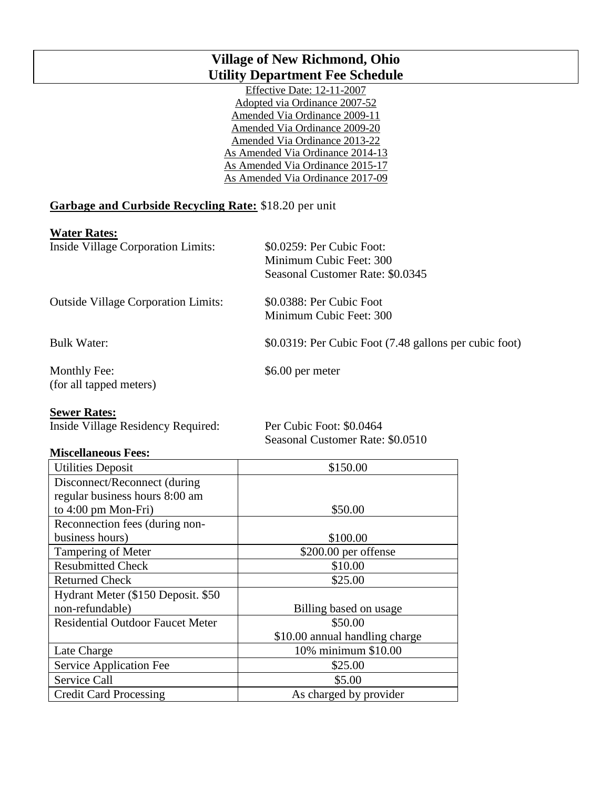## **Village of New Richmond, Ohio Utility Department Fee Schedule**

Effective Date: 12-11-2007 Adopted via Ordinance 2007-52 Amended Via Ordinance 2009-11 Amended Via Ordinance 2009-20 Amended Via Ordinance 2013-22 As Amended Via Ordinance 2014-13 As Amended Via Ordinance 2015-17 As Amended Via Ordinance 2017-09

### **Garbage and Curbside Recycling Rate:** \$18.20 per unit

#### **Water Rates:**

| $\ldots$ and $\ldots$ and $\ldots$         |                                                        |
|--------------------------------------------|--------------------------------------------------------|
| <b>Inside Village Corporation Limits:</b>  | \$0.0259: Per Cubic Foot:                              |
|                                            | Minimum Cubic Feet: 300                                |
|                                            | Seasonal Customer Rate: \$0.0345                       |
| <b>Outside Village Corporation Limits:</b> | \$0.0388: Per Cubic Foot                               |
|                                            | Minimum Cubic Feet: 300                                |
| <b>Bulk Water:</b>                         | \$0.0319: Per Cubic Foot (7.48 gallons per cubic foot) |
| Monthly Fee:                               | \$6.00 per meter                                       |
| (for all tapped meters)                    |                                                        |
|                                            |                                                        |

#### **Sewer Rates:**

Inside Village Residency Required: Per Cubic Foot: \$0.0464

Seasonal Customer Rate: \$0.0510

#### **Miscellaneous Fees:**

| <b>Utilities Deposit</b>                | \$150.00                       |
|-----------------------------------------|--------------------------------|
| Disconnect/Reconnect (during            |                                |
| regular business hours 8:00 am          |                                |
| to $4:00 \text{ pm } \text{Mon-Fri}$ )  | \$50.00                        |
| Reconnection fees (during non-          |                                |
| business hours)                         | \$100.00                       |
| Tampering of Meter                      | \$200.00 per offense           |
| <b>Resubmitted Check</b>                | \$10.00                        |
| <b>Returned Check</b>                   | \$25.00                        |
| Hydrant Meter (\$150 Deposit. \$50      |                                |
| non-refundable)                         | Billing based on usage         |
| <b>Residential Outdoor Faucet Meter</b> | \$50.00                        |
|                                         | \$10.00 annual handling charge |
| Late Charge                             | 10% minimum \$10.00            |
| Service Application Fee                 | \$25.00                        |
| Service Call                            | \$5.00                         |
| <b>Credit Card Processing</b>           | As charged by provider         |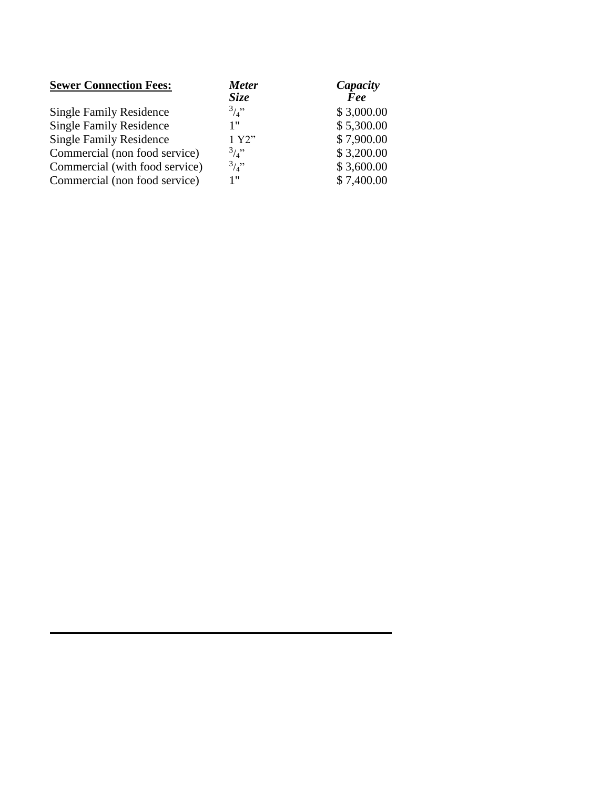| <b>Sewer Connection Fees:</b>  | <b>Meter</b> | Capacity   |
|--------------------------------|--------------|------------|
|                                | <b>Size</b>  | Fee        |
| <b>Single Family Residence</b> | 3/3          | \$3,000.00 |
| <b>Single Family Residence</b> | 1"           | \$5,300.00 |
| <b>Single Family Residence</b> | 1 Y2"        | \$7,900.00 |
| Commercial (non food service)  | $3/4$ "      | \$3,200.00 |
| Commercial (with food service) | 3/3          | \$3,600.00 |
| Commercial (non food service)  | 1"           | \$7,400.00 |